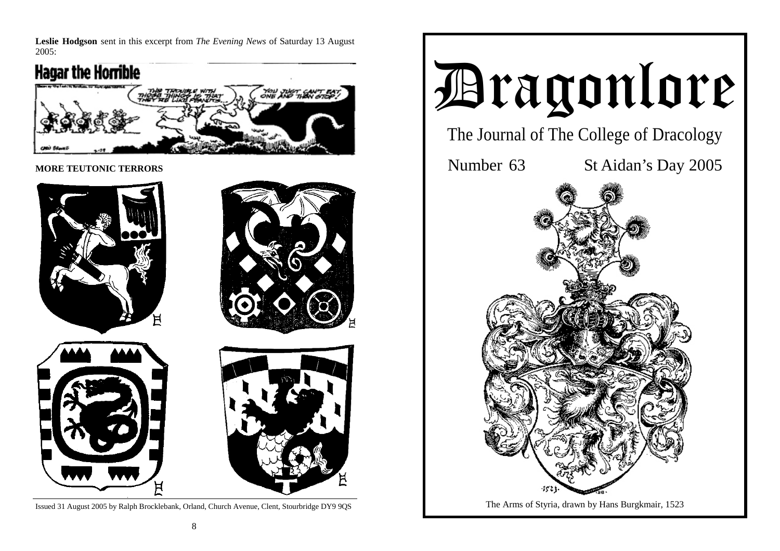**Leslie Hodgson** sent in this excerpt from *The Evening News* of Saturday 13 August 2005:



**MORE TEUTONIC TERRORS** 



Issued 31 August 2005 by Ralph Brocklebank, Orland, Church Avenue, Clent, Stourbridge DY9 9QS

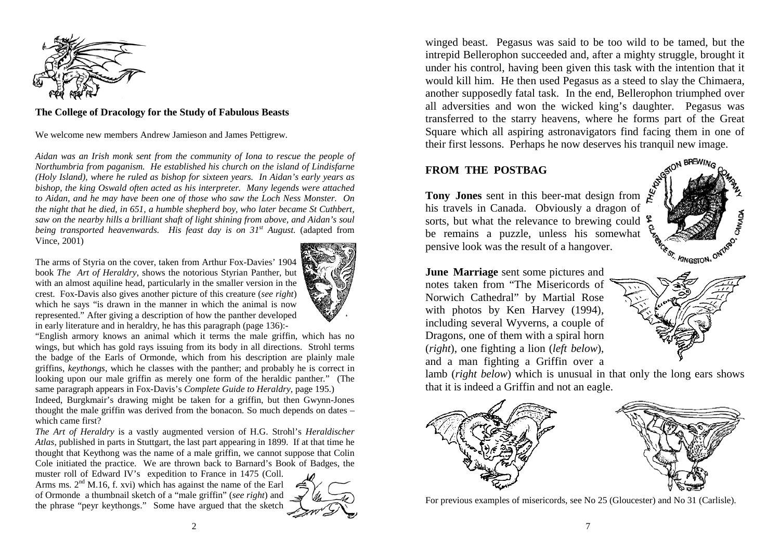

#### **The College of Dracology for the Study of Fabulous Beasts**

We welcome new members Andrew Jamieson and James Pettigrew.

*Aidan was an Irish monk sent from the community of Iona to rescue the people of Northumbria from paganism. He established his church on the island of Lindisfarne (Holy Island), where he ruled as bishop for sixteen years. In Aidan's early years as bishop, the king Oswald often acted as his interpreter. Many legends were attached to Aidan, and he may have been one of those who saw the Loch Ness Monster. On the night that he died, in 651, a humble shepherd boy, who later became St Cuthbert, saw on the nearby hills a brilliant shaft of light shining from above, and Aidan's soul being transported heavenwards. His feast day is on 31st August.* (adapted from Vince, 2001)

The arms of Styria on the cover, taken from Arthur Fox-Davies' 1904 book *The Art of Heraldry*, shows the notorious Styrian Panther, but with an almost aquiline head, particularly in the smaller version in the crest. Fox-Davis also gives another picture of this creature (*see right*) which he says "is drawn in the manner in which the animal is now represented." After giving a description of how the panther developed in early literature and in heraldry, he has this paragraph (page 136):-



"English armory knows an animal which it terms the male griffin, which has no wings, but which has gold rays issuing from its body in all directions. Strohl terms the badge of the Earls of Ormonde, which from his description are plainly male griffins, *keythongs*, which he classes with the panther; and probably he is correct in looking upon our male griffin as merely one form of the heraldic panther." (The same paragraph appears in Fox-Davis's *Complete Guide to Heraldry,* page 195.)

Indeed, Burgkmair's drawing might be taken for a griffin, but then Gwynn-Jones thought the male griffin was derived from the bonacon. So much depends on dates – which came first?

*The Art of Heraldry* is a vastly augmented version of H.G. Strohl's *Heraldischer Atlas*, published in parts in Stuttgart, the last part appearing in 1899. If at that time he thought that Keythong was the name of a male griffin, we cannot suppose that Colin Cole initiated the practice. We are thrown back to Barnard's Book of Badges, the

muster roll of Edward IV's expedition to France in 1475 (Coll. Arms ms.  $2<sup>nd</sup>$  M.16, f. xvi) which has against the name of the Earl of Ormonde a thumbnail sketch of a "male griffin" (*see right*) and the phrase "peyr keythongs." Some have argued that the sketch



winged beast. Pegasus was said to be too wild to be tamed, but the intrepid Bellerophon succeeded and, after a mighty struggle, brought it under his control, having been given this task with the intention that it would kill him. He then used Pegasus as a steed to slay the Chimaera, another supposedly fatal task. In the end, Bellerophon triumphed over all adversities and won the wicked king's daughter. Pegasus was transferred to the starry heavens, where he forms part of the Great Square which all aspiring astronavigators find facing them in one of their first lessons. Perhaps he now deserves his tranquil new image.

# **FROM THE POSTBAG**

**Tony Jones** sent in this beer-mat design from his travels in Canada. Obviously a dragon of sorts, but what the relevance to brewing could \$ be remains a puzzle, unless his somewhat pensive look was the result of a hangover.



**June Marriage** sent some pictures and notes taken from "The Misericords of Norwich Cathedral" by Martial Rose with photos by Ken Harvey (1994), including several Wyverns, a couple of Dragons, one of them with a spiral horn (*right*), one fighting a lion (*left below*), and a man fighting a Griffin over a



lamb (*right below*) which is unusual in that only the long ears shows that it is indeed a Griffin and not an eagle.



For previous examples of misericords, see No 25 (Gloucester) and No 31 (Carlisle).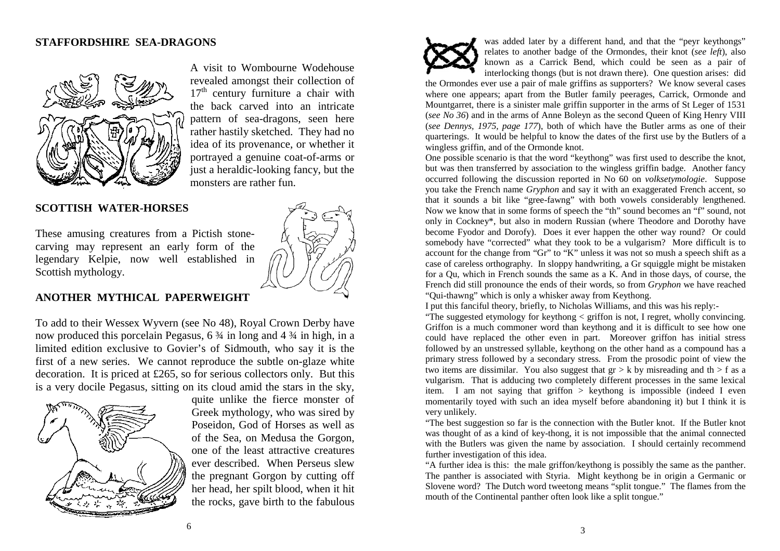## **STAFFORDSHIRE SEA-DRAGONS**



A visit to Wombourne Wodehouse revealed amongst their collection of  $17<sup>th</sup>$  century furniture a chair with the back carved into an intricate pattern of sea-dragons, seen here rather hastily sketched. They had no idea of its provenance, or whether it portrayed a genuine coat-of-arms or just a heraldic-looking fancy, but the monsters are rather fun.

## **SCOTTISH WATER-HORSES**

These amusing creatures from a Pictish stonecarving may represent an early form of the legendary Kelpie, now well established in Scottish mythology.



### **ANOTHER MYTHICAL PAPERWEIGHT**

To add to their Wessex Wyvern (see No 48), Royal Crown Derby have now produced this porcelain Pegasus, 6  $\frac{3}{4}$  in long and 4  $\frac{3}{4}$  in high, in a limited edition exclusive to Govier's of Sidmouth, who say it is the first of a new series. We cannot reproduce the subtle on-glaze white decoration. It is priced at £265, so for serious collectors only. But this is a very docile Pegasus, sitting on its cloud amid the stars in the sky,



quite unlike the fierce monster of Greek mythology, who was sired by Poseidon, God of Horses as well as of the Sea, on Medusa the Gorgon, one of the least attractive creatures ever described. When Perseus slew the pregnant Gorgon by cutting off her head, her spilt blood, when it hit the rocks, gave birth to the fabulous



was added later by a different hand, and that the "peyr keythongs" relates to another badge of the Ormondes, their knot (*see left*), also known as a Carrick Bend, which could be seen as a pair of interlocking thongs (but is not drawn there). One question arises: did

the Ormondes ever use a pair of male griffins as supporters? We know several cases where one appears; apart from the Butler family peerages, Carrick, Ormonde and Mountgarret, there is a sinister male griffin supporter in the arms of St Leger of 1531 (*see No 36*) and in the arms of Anne Boleyn as the second Queen of King Henry VIII (*see Dennys, 1975, page 177*), both of which have the Butler arms as one of their quarterings. It would be helpful to know the dates of the first use by the Butlers of a wingless griffin, and of the Ormonde knot.

One possible scenario is that the word "keythong" was first used to describe the knot, but was then transferred by association to the wingless griffin badge. Another fancy occurred following the discussion reported in No 60 on *volksetymologie*. Suppose you take the French name *Gryphon* and say it with an exaggerated French accent, so that it sounds a bit like "gree-fawng" with both vowels considerably lengthened. Now we know that in some forms of speech the "th" sound becomes an "f" sound, not only in Cockney\*, but also in modern Russian (where Theodore and Dorothy have become Fyodor and Dorofy). Does it ever happen the other way round? Or could somebody have "corrected" what they took to be a vulgarism? More difficult is to account for the change from "Gr" to "K" unless it was not so mush a speech shift as a case of careless orthography. In sloppy handwriting, a Gr squiggle might be mistaken for a Qu, which in French sounds the same as a K. And in those days, of course, the French did still pronounce the ends of their words, so from *Gryphon* we have reached "Qui-thawng" which is only a whisker away from Keythong.

I put this fanciful theory, briefly, to Nicholas Williams, and this was his reply:-

"The suggested etymology for keythong < griffon is not, I regret, wholly convincing. Griffon is a much commoner word than keythong and it is difficult to see how one could have replaced the other even in part. Moreover griffon has initial stress followed by an unstressed syllable, keythong on the other hand as a compound has a primary stress followed by a secondary stress. From the prosodic point of view the two items are dissimilar. You also suggest that  $gr > k$  by misreading and th  $> f$  as a vulgarism. That is adducing two completely different processes in the same lexical item. I am not saying that griffon  $>$  keythong is impossible (indeed I even momentarily toyed with such an idea myself before abandoning it) but I think it is very unlikely.

"The best suggestion so far is the connection with the Butler knot. If the Butler knot was thought of as a kind of key-thong, it is not impossible that the animal connected with the Butlers was given the name by association. I should certainly recommend further investigation of this idea.

"A further idea is this: the male griffon/keythong is possibly the same as the panther. The panther is associated with Styria. Might keythong be in origin a Germanic or Slovene word? The Dutch word tweetong means "split tongue." The flames from the mouth of the Continental panther often look like a split tongue."